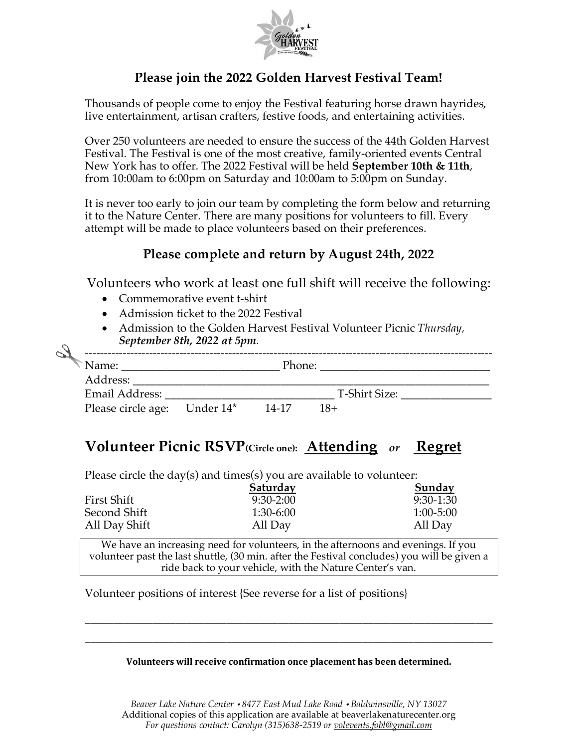

## **Please join the 2022 Golden Harvest Festival Team!**

Thousands of people come to enjoy the Festival featuring horse drawn hayrides, live entertainment, artisan crafters, festive foods, and entertaining activities.

Over 250 volunteers are needed to ensure the success of the 44th Golden Harvest Festival. The Festival is one of the most creative, family-oriented events Central New York has to offer. The 2022 Festival will be held **September 10th & 11th**, from 10:00am to 6:00pm on Saturday and 10:00am to 5:00pm on Sunday.

It is never too early to join our team by completing the form below and returning it to the Nature Center. There are many positions for volunteers to fill. Every attempt will be made to place volunteers based on their preferences.

### **Please complete and return by August 24th, 2022**

Volunteers who work at least one full shift will receive the following:

- Commemorative event t-shirt
- Admission ticket to the 2022 Festival
- Admission to the Golden Harvest Festival Volunteer Picnic *Thursday, September 8th, 2022 at 5pm.*

| Name:              |           | Phone: |               |  |
|--------------------|-----------|--------|---------------|--|
| Address:           |           |        |               |  |
| Email Address:     |           |        | T-Shirt Size: |  |
| Please circle age: | Under 14* | 14-17  | $18+$         |  |

# **Volunteer Picnic RSVP(Circle one): Attending** *or* **Regret**

Please circle the day(s) and times(s) you are available to volunteer:

|               | Saturday    | Sunday        |  |
|---------------|-------------|---------------|--|
| First Shift   | $9:30-2:00$ | $9:30-1:30$   |  |
| Second Shift  | $1:30-6:00$ | $1:00 - 5:00$ |  |
| All Day Shift | All Day     | All Day       |  |

We have an increasing need for volunteers, in the afternoons and evenings. If you volunteer past the last shuttle, (30 min. after the Festival concludes) you will be given a ride back to your vehicle, with the Nature Center's van.

Volunteer positions of interest {See reverse for a list of positions}

#### **Volunteers will receive confirmation once placement has been determined.**

\_\_\_\_\_\_\_\_\_\_\_\_\_\_\_\_\_\_\_\_\_\_\_\_\_\_\_\_\_\_\_\_\_\_\_\_\_\_\_\_\_\_\_\_\_\_\_\_\_\_\_\_\_\_\_\_\_\_\_\_\_\_\_\_\_\_\_\_\_\_\_\_ \_\_\_\_\_\_\_\_\_\_\_\_\_\_\_\_\_\_\_\_\_\_\_\_\_\_\_\_\_\_\_\_\_\_\_\_\_\_\_\_\_\_\_\_\_\_\_\_\_\_\_\_\_\_\_\_\_\_\_\_\_\_\_\_\_\_\_\_\_\_\_\_

*Beaver Lake Nature Center 8477 East Mud Lake Road Baldwinsville, NY 13027* Additional copies of this application are available at beaverlakenaturecenter.org *For questions contact: Carolyn (315)638-2519 or volevents.fobl@gmail.com*